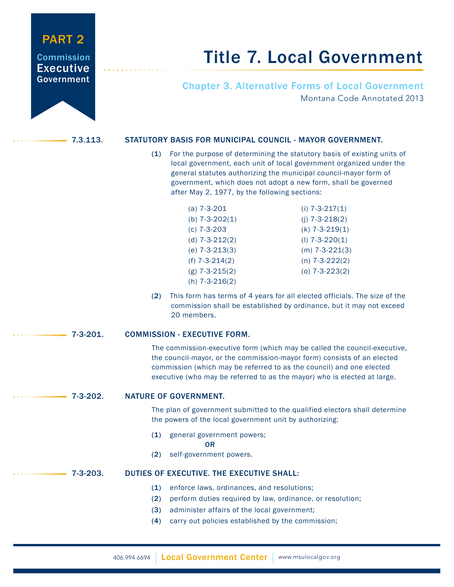## PART 2

### **Commission** Executive Government

# Title 7. Local Government

Chapter 3. Alternative Forms of Local Government Montana Code Annotated 2013

### 7.3.113. STATUTORY BASIS FOR MUNICIPAL COUNCIL - MAYOR GOVERNMENT.

 (1) For the purpose of determining the statutory basis of existing units of local government, each unit of local government organized under the general statutes authorizing the municipal council-mayor form of government, which does not adopt a new form, shall be governed after May 2, 1977, by the following sections:

| (a) $7 - 3 - 201$    | (i) $7 - 3 - 217(1)$ |
|----------------------|----------------------|
| (b) $7-3-202(1)$     | (j) $7 - 3 - 218(2)$ |
| (c) $7 - 3 - 203$    | $(k)$ 7-3-219(1)     |
| (d) $7-3-212(2)$     | $(I)$ 7-3-220(1)     |
| (e) $7 - 3 - 213(3)$ | $(m)$ 7-3-221(3)     |
| (f) $7-3-214(2)$     | $(n)$ 7-3-222(2)     |
| $(g)$ 7-3-215(2)     | $(0)$ 7-3-223 $(2)$  |
| (h) $7 - 3 - 216(2)$ |                      |

 (2) This form has terms of 4 years for all elected officials. The size of the commission shall be established by ordinance, but it may not exceed 20 members.

### 7-3-201. COMMISSION - EXECUTIVE FORM.

 The commission-executive form (which may be called the council-executive, the council-mayor, or the commission-mayor form) consists of an elected commission (which may be referred to as the council) and one elected executive (who may be referred to as the mayor) who is elected at large.

### 7-3-202. NATURE OF GOVERNMENT.

 The plan of government submitted to the qualified electors shall determine the powers of the local government unit by authorizing:

(1) general government powers;

**OR** Service Service Service Service Service Service Service Service Service Service Service Service Service Service Service Service Service Service Service Service Service Service Service Service Service Service Service S

(2) self-government powers.

### 7-3-203. DUTIES OF EXECUTIVE. THE EXECUTIVE SHALL:

- (1) enforce laws, ordinances, and resolutions;
- (2) perform duties required by law, ordinance, or resolution;
- (3) administer affairs of the local government;
- (4) carry out policies established by the commission;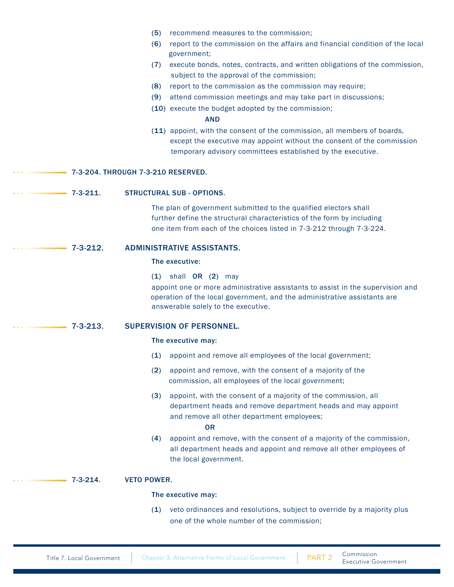|                                                     | recommend measures to the commission;<br>(5)<br>(6)<br>report to the commission on the affairs and financial condition of the local<br>government;<br>execute bonds, notes, contracts, and written obligations of the commission,<br>(7)<br>subject to the approval of the commission;<br>report to the commission as the commission may require;<br>(8)<br>attend commission meetings and may take part in discussions;<br>(9)<br>(10) execute the budget adopted by the commission;<br><b>AND</b><br>(11) appoint, with the consent of the commission, all members of boards,<br>except the executive may appoint without the consent of the commission |  |  |
|-----------------------------------------------------|-----------------------------------------------------------------------------------------------------------------------------------------------------------------------------------------------------------------------------------------------------------------------------------------------------------------------------------------------------------------------------------------------------------------------------------------------------------------------------------------------------------------------------------------------------------------------------------------------------------------------------------------------------------|--|--|
|                                                     | temporary advisory committees established by the executive.<br>7-3-204. THROUGH 7-3-210 RESERVED.                                                                                                                                                                                                                                                                                                                                                                                                                                                                                                                                                         |  |  |
| $7 - 3 - 211$ .<br><b>STRUCTURAL SUB - OPTIONS.</b> |                                                                                                                                                                                                                                                                                                                                                                                                                                                                                                                                                                                                                                                           |  |  |
|                                                     | The plan of government submitted to the qualified electors shall<br>further define the structural characteristics of the form by including<br>one item from each of the choices listed in 7-3-212 through 7-3-224.                                                                                                                                                                                                                                                                                                                                                                                                                                        |  |  |
| $7 - 3 - 212$ .                                     | <b>ADMINISTRATIVE ASSISTANTS.</b>                                                                                                                                                                                                                                                                                                                                                                                                                                                                                                                                                                                                                         |  |  |
|                                                     | The executive:                                                                                                                                                                                                                                                                                                                                                                                                                                                                                                                                                                                                                                            |  |  |
|                                                     | shall OR (2) may<br>(1)<br>appoint one or more administrative assistants to assist in the supervision and<br>operation of the local government, and the administrative assistants are<br>answerable solely to the executive.                                                                                                                                                                                                                                                                                                                                                                                                                              |  |  |
| $7 - 3 - 213$ .                                     | <b>SUPERVISION OF PERSONNEL.</b>                                                                                                                                                                                                                                                                                                                                                                                                                                                                                                                                                                                                                          |  |  |
|                                                     | The executive may:                                                                                                                                                                                                                                                                                                                                                                                                                                                                                                                                                                                                                                        |  |  |
|                                                     | appoint and remove all employees of the local government;<br>(1)                                                                                                                                                                                                                                                                                                                                                                                                                                                                                                                                                                                          |  |  |
|                                                     | appoint and remove, with the consent of a majority of the<br>(2)<br>commission, all employees of the local government;                                                                                                                                                                                                                                                                                                                                                                                                                                                                                                                                    |  |  |
|                                                     | appoint, with the consent of a majority of the commission, all<br>(3)<br>department heads and remove department heads and may appoint<br>and remove all other department employees;<br><b>OR</b>                                                                                                                                                                                                                                                                                                                                                                                                                                                          |  |  |
|                                                     | appoint and remove, with the consent of a majority of the commission,<br>(4)<br>all department heads and appoint and remove all other employees of<br>the local government.                                                                                                                                                                                                                                                                                                                                                                                                                                                                               |  |  |
| $7 - 3 - 214.$                                      | <b>VETO POWER.</b>                                                                                                                                                                                                                                                                                                                                                                                                                                                                                                                                                                                                                                        |  |  |
|                                                     | The executive may:                                                                                                                                                                                                                                                                                                                                                                                                                                                                                                                                                                                                                                        |  |  |
|                                                     | veto ordinances and resolutions, subject to override by a majority plus<br>(1)<br>one of the whole number of the commission;                                                                                                                                                                                                                                                                                                                                                                                                                                                                                                                              |  |  |
|                                                     |                                                                                                                                                                                                                                                                                                                                                                                                                                                                                                                                                                                                                                                           |  |  |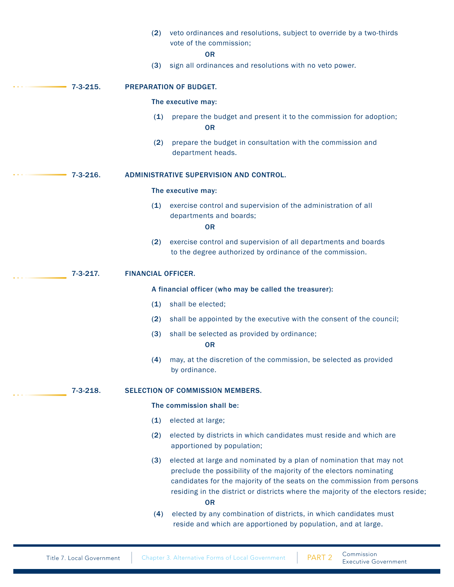|                | (2)                       | veto ordinances and resolutions, subject to override by a two-thirds<br>vote of the commission;<br><b>OR</b>                                                                                                                                                                                                           |
|----------------|---------------------------|------------------------------------------------------------------------------------------------------------------------------------------------------------------------------------------------------------------------------------------------------------------------------------------------------------------------|
|                | (3)                       | sign all ordinances and resolutions with no veto power.                                                                                                                                                                                                                                                                |
| $7 - 3 - 215.$ |                           | <b>PREPARATION OF BUDGET.</b>                                                                                                                                                                                                                                                                                          |
|                |                           | The executive may:                                                                                                                                                                                                                                                                                                     |
|                | (1)                       | prepare the budget and present it to the commission for adoption;<br><b>OR</b>                                                                                                                                                                                                                                         |
|                | (2)                       | prepare the budget in consultation with the commission and<br>department heads.                                                                                                                                                                                                                                        |
| $7 - 3 - 216.$ |                           | <b>ADMINISTRATIVE SUPERVISION AND CONTROL.</b>                                                                                                                                                                                                                                                                         |
|                |                           | The executive may:                                                                                                                                                                                                                                                                                                     |
|                | (1)                       | exercise control and supervision of the administration of all<br>departments and boards;<br><b>OR</b>                                                                                                                                                                                                                  |
|                | (2)                       | exercise control and supervision of all departments and boards<br>to the degree authorized by ordinance of the commission.                                                                                                                                                                                             |
| $7 - 3 - 217.$ | <b>FINANCIAL OFFICER.</b> |                                                                                                                                                                                                                                                                                                                        |
|                |                           | A financial officer (who may be called the treasurer):                                                                                                                                                                                                                                                                 |
|                | (1)                       | shall be elected;                                                                                                                                                                                                                                                                                                      |
|                | (2)                       | shall be appointed by the executive with the consent of the council;                                                                                                                                                                                                                                                   |
|                | (3)                       | shall be selected as provided by ordinance;<br><b>OR</b>                                                                                                                                                                                                                                                               |
|                | (4)                       | may, at the discretion of the commission, be selected as provided<br>by ordinance.                                                                                                                                                                                                                                     |
| $7 - 3 - 218.$ |                           | SELECTION OF COMMISSION MEMBERS.                                                                                                                                                                                                                                                                                       |
|                |                           | The commission shall be:                                                                                                                                                                                                                                                                                               |
|                | (1)                       | elected at large;                                                                                                                                                                                                                                                                                                      |
|                | (2)                       | elected by districts in which candidates must reside and which are<br>apportioned by population;                                                                                                                                                                                                                       |
|                | (3)                       | elected at large and nominated by a plan of nomination that may not<br>preclude the possibility of the majority of the electors nominating<br>candidates for the majority of the seats on the commission from persons<br>residing in the district or districts where the majority of the electors reside;<br><b>OR</b> |
|                | (4)                       | elected by any combination of districts, in which candidates must<br>reside and which are apportioned by population, and at large.                                                                                                                                                                                     |